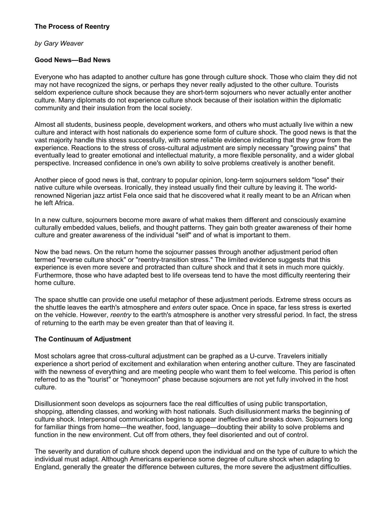## **The Process of Reentry**

#### *by Gary Weaver*

### **Good News—Bad News**

Everyone who has adapted to another culture has gone through culture shock. Those who claim they did not may not have recognized the signs, or perhaps they never really adjusted to the other culture. Tourists seldom experience culture shock because they are short-term sojourners who never actually enter another culture. Many diplomats do not experience culture shock because of their isolation within the diplomatic community and their insulation from the local society.

Almost all students, business people, development workers, and others who must actually live within a new culture and interact with host nationals do experience some form of culture shock. The good news is that the vast majority handle this stress successfully, with some reliable evidence indicating that they grow from the experience. Reactions to the stress of cross-cultural adjustment are simply necessary "growing pains" that eventually lead to greater emotional and intellectual maturity, a more flexible personality, and a wider global perspective. Increased confidence in one's own ability to solve problems creatively is another benefit.

Another piece of good news is that, contrary to popular opinion, long-term sojourners seldom "lose" their native culture while overseas. Ironically, they instead usually find their culture by leaving it. The world renowned Nigerian jazz artist Fela once said that he discovered what it really meant to be an African when he left Africa.

In a new culture, sojourners become more aware of what makes them different and consciously examine culturally embedded values, beliefs, and thought patterns. They gain both greater awareness of their home culture and greater awareness of the individual "self" and of what is important to them.

Now the bad news. On the return home the sojourner passes through another adjustment period often termed "reverse culture shock" or "reentry-transition stress." The limited evidence suggests that this experience is even more severe and protracted than culture shock and that it sets in much more quickly. Furthermore, those who have adapted best to life overseas tend to have the most difficulty reentering their home culture.

The space shuttle can provide one useful metaphor of these adjustment periods. Extreme stress occurs as the shuttle leaves the earth's atmosphere and *enters* outer space. Once in space, far less stress is exerted on the vehicle. However, *reentry* to the earth's atmosphere is another very stressful period. In fact, the stress of returning to the earth may be even greater than that of leaving it.

## **The Continuum of Adjustment**

Most scholars agree that cross-cultural adjustment can be graphed as a U-curve. Travelers initially experience a short period of excitement and exhilaration when entering another culture. They are fascinated with the newness of everything and are meeting people who want them to feel welcome. This period is often referred to as the "tourist" or "honeymoon" phase because sojourners are not yet fully involved in the host culture.

Disillusionment soon develops as sojourners face the real difficulties of using public transportation, shopping, attending classes, and working with host nationals. Such disillusionment marks the beginning of culture shock. Interpersonal communication begins to appear ineffective and breaks down. Sojourners long for familiar things from home—the weather, food, language—doubting their ability to solve problems and function in the new environment. Cut off from others, they feel disoriented and out of control.

The severity and duration of culture shock depend upon the individual and on the type of culture to which the individual must adapt. Although Americans experience some degree of culture shock when adapting to England, generally the greater the difference between cultures, the more severe the adjustment difficulties.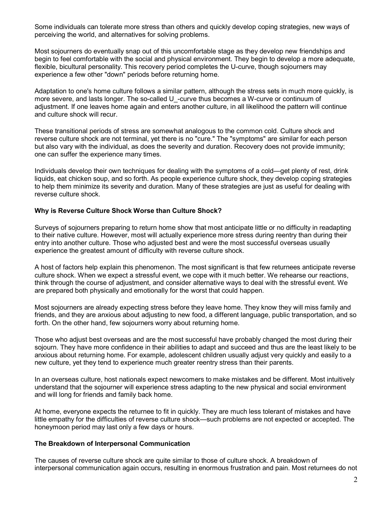Some individuals can tolerate more stress than others and quickly develop coping strategies, new ways of perceiving the world, and alternatives for solving problems.

Most sojourners do eventually snap out of this uncomfortable stage as they develop new friendships and begin to feel comfortable with the social and physical environment. They begin to develop a more adequate, flexible, bicultural personality. This recovery period completes the U-curve, though sojourners may experience a few other "down" periods before returning home.

Adaptation to one's home culture follows a similar pattern, although the stress sets in much more quickly, is more severe, and lasts longer. The so-called U -curve thus becomes a W-curve or continuum of adjustment. If one leaves home again and enters another culture, in all likelihood the pattern will continue and culture shock will recur.

These transitional periods of stress are somewhat analogous to the common cold. Culture shock and reverse culture shock are not terminal, yet there is no "cure." The "symptoms" are similar for each person but also vary with the individual, as does the severity and duration. Recovery does not provide immunity; one can suffer the experience many times.

Individuals develop their own techniques for dealing with the symptoms of a cold—get plenty of rest, drink liquids, eat chicken soup, and so forth. As people experience culture shock, they develop coping strategies to help them minimize its severity and duration. Many of these strategies are just as useful for dealing with reverse culture shock.

#### **Why is Reverse Culture Shock Worse than Culture Shock?**

Surveys of sojourners preparing to return home show that most anticipate little or no difficulty in readapting to their native culture. However, most will actually experience more stress during reentry than during their entry into another culture. Those who adjusted best and were the most successful overseas usually experience the greatest amount of difficulty with reverse culture shock.

A host of factors help explain this phenomenon. The most significant is that few returnees anticipate reverse culture shock. When we expect a stressful event, we cope with it much better. We rehearse our reactions, think through the course of adjustment, and consider alternative ways to deal with the stressful event. We are prepared both physically and emotionally for the worst that could happen.

Most sojourners are already expecting stress before they leave home. They know they will miss family and friends, and they are anxious about adjusting to new food, a different language, public transportation, and so forth. On the other hand, few sojourners worry about returning home.

Those who adjust best overseas and are the most successful have probably changed the most during their sojourn. They have more confidence in their abilities to adapt and succeed and thus are the least likely to be anxious about returning home. For example, adolescent children usually adjust very quickly and easily to a new culture, yet they tend to experience much greater reentry stress than their parents.

In an overseas culture, host nationals expect newcomers to make mistakes and be different. Most intuitively understand that the sojourner will experience stress adapting to the new physical and social environment and will long for friends and family back home.

At home, everyone expects the returnee to fit in quickly. They are much less tolerant of mistakes and have little empathy for the difficulties of reverse culture shock—such problems are not expected or accepted. The honeymoon period may last only a few days or hours.

#### **The Breakdown of Interpersonal Communication**

The causes of reverse culture shock are quite similar to those of culture shock. A breakdown of interpersonal communication again occurs, resulting in enormous frustration and pain. Most returnees do not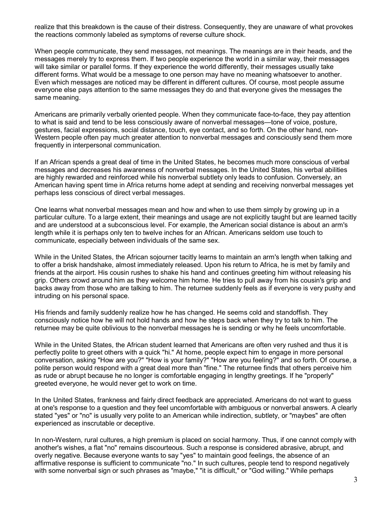realize that this breakdown is the cause of their distress. Consequently, they are unaware of what provokes the reactions commonly labeled as symptoms of reverse culture shock.

When people communicate, they send messages, not meanings. The meanings are in their heads, and the messages merely try to express them. If two people experience the world in a similar way, their messages will take similar or parallel forms. If they experience the world differently, their messages usually take different forms. What would be a message to one person may have no meaning whatsoever to another. Even which messages are noticed may be different in different cultures. Of course, most people assume everyone else pays attention to the same messages they do and that everyone gives the messages the same meaning.

Americans are primarily verbally oriented people. When they communicate face-to-face, they pay attention to what is said and tend to be less consciously aware of nonverbal messages—tone of voice, posture, gestures, facial expressions, social distance, touch, eye contact, and so forth. On the other hand, non Western people often pay much greater attention to nonverbal messages and consciously send them more frequently in interpersonal communication.

If an African spends a great deal of time in the United States, he becomes much more conscious of verbal messages and decreases his awareness of nonverbal messages. In the United States, his verbal abilities are highly rewarded and reinforced while his nonverbal subtlety only leads to confusion. Conversely, an American having spent time in Africa returns home adept at sending and receiving nonverbal messages yet perhaps less conscious of direct verbal messages.

One learns what nonverbal messages mean and how and when to use them simply by growing up in a particular culture. To a large extent, their meanings and usage are not explicitly taught but are learned tacitly and are understood at a subconscious level. For example, the American social distance is about an arm's length while it is perhaps only ten to twelve inches for an African. Americans seldom use touch to communicate, especially between individuals of the same sex.

While in the United States, the African sojourner tacitly learns to maintain an arm's length when talking and to offer a brisk handshake, almost immediately released. Upon his return to Africa, he is met by family and friends at the airport. His cousin rushes to shake his hand and continues greeting him without releasing his grip. Others crowd around him as they welcome him home. He tries to pull away from his cousin's grip and backs away from those who are talking to him. The returnee suddenly feels as if everyone is very pushy and intruding on his personal space.

His friends and family suddenly realize how he has changed. He seems cold and standoffish. They consciously notice how he will not hold hands and how he steps back when they try to talk to him. The returnee may be quite oblivious to the nonverbal messages he is sending or why he feels uncomfortable.

While in the United States, the African student learned that Americans are often very rushed and thus it is perfectly polite to greet others with a quick "hi." At home, people expect him to engage in more personal conversation, asking "How are you?" "How is your family?" "How are you feeling?" and so forth. Of course, a polite person would respond with a great deal more than "fine." The returnee finds that others perceive him as rude or abrupt because he no longer is comfortable engaging in lengthy greetings. If he "properly" greeted everyone, he would never get to work on time.

In the United States, frankness and fairly direct feedback are appreciated. Americans do not want to guess at one's response to a question and they feel uncomfortable with ambiguous or nonverbal answers. A clearly stated "yes" or "no" is usually very polite to an American while indirection, subtlety, or "maybes" are often experienced as inscrutable or deceptive.

In non-Western, rural cultures, a high premium is placed on social harmony. Thus, if one cannot comply with another's wishes, a flat "no" remains discourteous. Such a response is considered abrasive, abrupt, and overly negative. Because everyone wants to say "yes" to maintain good feelings, the absence of an affirmative response is sufficient to communicate "no." In such cultures, people tend to respond negatively with some nonverbal sign or such phrases as "maybe," "it is difficult," or "God willing." While perhaps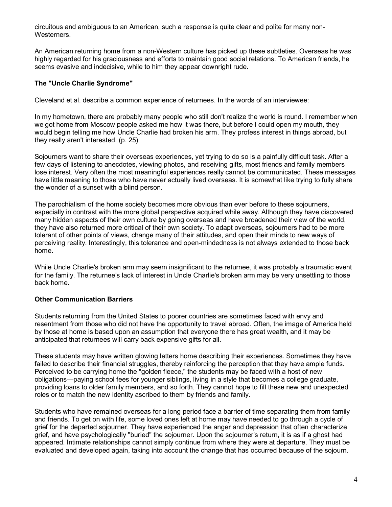circuitous and ambiguous to an American, such a response is quite clear and polite for many non Westerners.

An American returning home from a non-Western culture has picked up these subtleties. Overseas he was highly regarded for his graciousness and efforts to maintain good social relations. To American friends, he seems evasive and indecisive, while to him they appear downright rude.

### **The "Uncle Charlie Syndrome"**

Cleveland et al. describe a common experience of returnees. In the words of an interviewee:

In my hometown, there are probably many people who still don't realize the world is round. I remember when we got home from Moscow people asked me how it was there, but before I could open my mouth, they would begin telling me how Uncle Charlie had broken his arm. They profess interest in things abroad, but they really aren't interested. (p. 25)

Sojourners want to share their overseas experiences, yet trying to do so is a painfully difficult task. After a few days of listening to anecdotes, viewing photos, and receiving gifts, most friends and family members lose interest. Very often the most meaningful experiences really cannot be communicated. These messages have little meaning to those who have never actually lived overseas. It is somewhat like trying to fully share the wonder of a sunset with a blind person.

The parochialism of the home society becomes more obvious than ever before to these sojourners, especially in contrast with the more global perspective acquired while away. Although they have discovered many hidden aspects of their own culture by going overseas and have broadened their view of the world, they have also returned more critical of their own society. To adapt overseas, sojourners had to be more tolerant of other points of views, change many of their attitudes, and open their minds to new ways of perceiving reality. Interestingly, this tolerance and open-mindedness is not always extended to those back home.

While Uncle Charlie's broken arm may seem insignificant to the returnee, it was probably a traumatic event for the family. The returnee's lack of interest in Uncle Charlie's broken arm may be very unsettling to those back home.

#### **Other Communication Barriers**

Students returning from the United States to poorer countries are sometimes faced with envy and resentment from those who did not have the opportunity to travel abroad. Often, the image of America held by those at home is based upon an assumption that everyone there has great wealth, and it may be anticipated that returnees will carry back expensive gifts for all.

These students may have written glowing letters home describing their experiences. Sometimes they have failed to describe their financial struggles, thereby reinforcing the perception that they have ample funds. Perceived to be carrying home the "golden fleece," the students may be faced with a host of new obligations—paying school fees for younger siblings, living in a style that becomes a college graduate, providing loans to older family members, and so forth. They cannot hope to fill these new and unexpected roles or to match the new identity ascribed to them by friends and family.

Students who have remained overseas for a long period face a barrier of time separating them from family and friends. To get on with life, some loved ones left at home may have needed to go through a cycle of grief for the departed sojourner. They have experienced the anger and depression that often characterize grief, and have psychologically "buried" the sojourner. Upon the sojourner's return, it is as if a ghost had appeared. Intimate relationships cannot simply continue from where they were at departure. They must be evaluated and developed again, taking into account the change that has occurred because of the sojourn.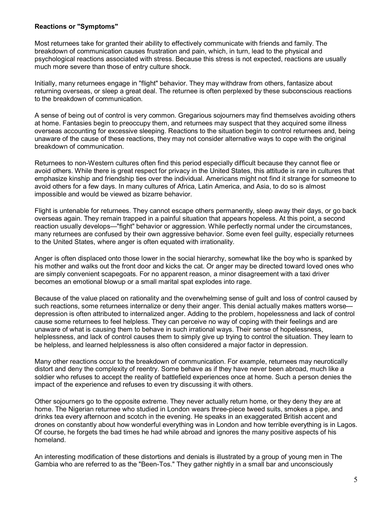#### **Reactions or "Symptoms"**

Most returnees take for granted their ability to effectively communicate with friends and family. The breakdown of communication causes frustration and pain, which, in turn, lead to the physical and psychological reactions associated with stress. Because this stress is not expected, reactions are usually much more severe than those of entry culture shock.

Initially, many returnees engage in "flight" behavior. They may withdraw from others, fantasize about returning overseas, or sleep a great deal. The returnee is often perplexed by these subconscious reactions to the breakdown of communication.

A sense of being out of control is very common. Gregarious sojourners may find themselves avoiding others at home. Fantasies begin to preoccupy them, and returnees may suspect that they acquired some illness overseas accounting for excessive sleeping. Reactions to the situation begin to control returnees and, being unaware of the cause of these reactions, they may not consider alternative ways to cope with the original breakdown of communication.

Returnees to non-Western cultures often find this period especially difficult because they cannot flee or avoid others. While there is great respect for privacy in the United States, this attitude is rare in cultures that emphasize kinship and friendship ties over the individual. Americans might not find it strange for someone to avoid others for a few days. In many cultures of Africa, Latin America, and Asia, to do so is almost impossible and would be viewed as bizarre behavior.

Flight is untenable for returnees. They cannot escape others permanently, sleep away their days, or go back overseas again. They remain trapped in a painful situation that appears hopeless. At this point, a second reaction usually develops—"fight" behavior or aggression. While perfectly normal under the circumstances, many returnees are confused by their own aggressive behavior. Some even feel guilty, especially returnees to the United States, where anger is often equated with irrationality.

Anger is often displaced onto those lower in the social hierarchy, somewhat like the boy who is spanked by his mother and walks out the front door and kicks the cat. Or anger may be directed toward loved ones who are simply convenient scapegoats. For no apparent reason, a minor disagreement with a taxi driver becomes an emotional blowup or a small marital spat explodes into rage.

Because of the value placed on rationality and the overwhelming sense of guilt and loss of control caused by such reactions, some returnees internalize or deny their anger. This denial actually makes matters worsedepression is often attributed to internalized anger. Adding to the problem, hopelessness and lack of control cause some returnees to feel helpless. They can perceive no way of coping with their feelings and are unaware of what is causing them to behave in such irrational ways. Their sense of hopelessness, helplessness, and lack of control causes them to simply give up trying to control the situation. They learn to be helpless, and learned helplessness is also often considered a major factor in depression.

Many other reactions occur to the breakdown of communication. For example, returnees may neurotically distort and deny the complexity of reentry. Some behave as if they have never been abroad, much like a soldier who refuses to accept the reality of battlefield experiences once at home. Such a person denies the impact of the experience and refuses to even try discussing it with others.

Other sojourners go to the opposite extreme. They never actually return home, or they deny they are at home. The Nigerian returnee who studied in London wears three-piece tweed suits, smokes a pipe, and drinks tea every afternoon and scotch in the evening. He speaks in an exaggerated British accent and drones on constantly about how wonderful everything was in London and how terrible everything is in Lagos. Of course, he forgets the bad times he had while abroad and ignores the many positive aspects of his homeland.

An interesting modification of these distortions and denials is illustrated by a group of young men in The Gambia who are referred to as the "Been-Tos." They gather nightly in a small bar and unconsciously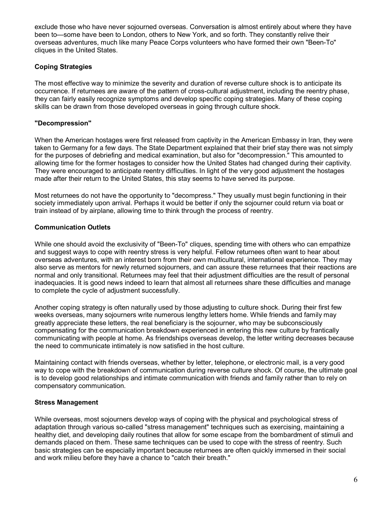exclude those who have never sojourned overseas. Conversation is almost entirely about where they have been to—some have been to London, others to New York, and so forth. They constantly relive their overseas adventures, much like many Peace Corps volunteers who have formed their own "Been-To" cliques in the United States.

# **Coping Strategies**

The most effective way to minimize the severity and duration of reverse culture shock is to anticipate its occurrence. If returnees are aware of the pattern of cross-cultural adjustment, including the reentry phase, they can fairly easily recognize symptoms and develop specific coping strategies. Many of these coping skills can be drawn from those developed overseas in going through culture shock.

# **"Decompression"**

When the American hostages were first released from captivity in the American Embassy in Iran, they were taken to Germany for a few days. The State Department explained that their brief stay there was not simply for the purposes of debriefing and medical examination, but also for "decompression." This amounted to allowing time for the former hostages to consider how the United States had changed during their captivity. They were encouraged to anticipate reentry difficulties. In light of the very good adjustment the hostages made after their return to the United States, this stay seems to have served its purpose.

Most returnees do not have the opportunity to "decompress." They usually must begin functioning in their society immediately upon arrival. Perhaps it would be better if only the sojourner could return via boat or train instead of by airplane, allowing time to think through the process of reentry.

# **Communication Outlets**

While one should avoid the exclusivity of "Been-To" cliques, spending time with others who can empathize and suggest ways to cope with reentry stress is very helpful. Fellow returnees often want to hear about overseas adventures, with an interest born from their own multicultural, international experience. They may also serve as mentors for newly returned sojourners, and can assure these returnees that their reactions are normal and only transitional. Returnees may feel that their adjustment difficulties are the result of personal inadequacies. It is good news indeed to learn that almost all returnees share these difficulties and manage to complete the cycle of adjustment successfully.

Another coping strategy is often naturally used by those adjusting to culture shock. During their first few weeks overseas, many sojourners write numerous lengthy letters home. While friends and family may greatly appreciate these letters, the real beneficiary is the sojourner, who may be subconsciously compensating for the communication breakdown experienced in entering this new culture by frantically communicating with people at home. As friendships overseas develop, the letter writing decreases because the need to communicate intimately is now satisfied in the host culture.

Maintaining contact with friends overseas, whether by letter, telephone, or electronic mail, is a very good way to cope with the breakdown of communication during reverse culture shock. Of course, the ultimate goal is to develop good relationships and intimate communication with friends and family rather than to rely on compensatory communication.

## **Stress Management**

While overseas, most sojourners develop ways of coping with the physical and psychological stress of adaptation through various so-called "stress management" techniques such as exercising, maintaining a healthy diet, and developing daily routines that allow for some escape from the bombardment of stimuli and demands placed on them. These same techniques can be used to cope with the stress of reentry. Such basic strategies can be especially important because returnees are often quickly immersed in their social and work milieu before they have a chance to "catch their breath."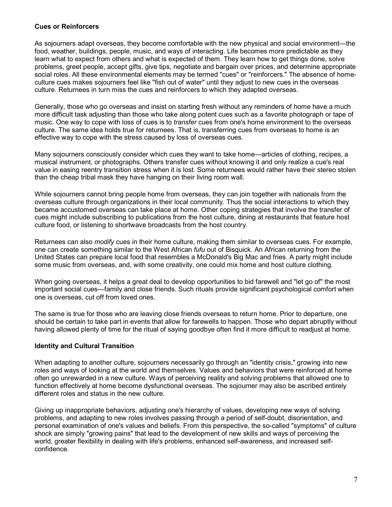#### **Cues or Reinforcers**

As sojourners adapt overseas, they become comfortable with the new physical and social environment—the food, weather, buildings, people, music, and ways of interacting. Life becomes more predictable as they learn what to expect from others and what is expected of them. They learn how to get things done, solve problems, greet people, accept gifts, give tips, negotiate and bargain over prices, and determine appropriate social roles. All these environmental elements may be termed "cues" or "reinforcers." The absence of home culture cues makes sojourners feel like "fish out of water" until they adjust to new cues in the overseas culture. Returnees in turn miss the cues and reinforcers to which they adapted overseas.

Generally, those who go overseas and insist on starting fresh without any reminders of home have a much more difficult task adjusting than those who take along potent cues such as a favorite photograph or tape of music. One way to cope with loss of cues is to *transfer* cues from one's home environment to the overseas culture. The same idea holds true for returnees. That is, transferring cues from overseas to home is an effective way to cope with the stress caused by loss of overseas cues.

Many sojourners consciously consider which cues they want to take home—articles of clothing, recipes, a musical instrument, or photographs. Others transfer cues without knowing it and only realize a cue's real value in easing reentry transition stress when it is lost. Some returnees would rather have their stereo stolen than the cheap tribal mask they have hanging on their living room wall.

While sojourners cannot bring people home from overseas, they can join together with nationals from the overseas culture through organizations in their local community. Thus the social interactions to which they became accustomed overseas can take place at home. Other coping strategies that involve the transfer of cues might include subscribing to publications from the host culture, dining at restaurants that feature host culture food, or listening to shortwave broadcasts from the host country.

Returnees can also *modify* cues in their home culture, making them similar to overseas cues. For example, one can create something similar to the West African *fufu* out of Bisquick. An African returning from the United States can prepare local food that resembles a McDonald's Big Mac and fries. A party might include some music from overseas, and, with some creativity, one could mix home and host culture clothing.

When going overseas, it helps a great deal to develop opportunities to bid farewell and "let go of" the most important social cues—family and close friends. Such rituals provide significant psychological comfort when one is overseas, cut off from loved ones.

The same is true for those who are leaving close friends overseas to return home. Prior to departure, one should be certain to take part in events that allow for farewells to happen. Those who depart abruptly without having allowed plenty of time for the ritual of saying goodbye often find it more difficult to readjust at home.

## **Identity and Cultural Transition**

When adapting to another culture, sojourners necessarily go through an "identity crisis," growing into new roles and ways of looking at the world and themselves. Values and behaviors that were reinforced at home often go unrewarded in a new culture. Ways of perceiving reality and solving problems that allowed one to function effectively at home become dysfunctional overseas. The sojourner may also be ascribed entirely different roles and status in the new culture.

Giving up inappropriate behaviors, adjusting one's hierarchy of values, developing new ways of solving problems, and adapting to new roles involves passing through a period of self-doubt, disorientation, and personal examination of one's values and beliefs. From this perspective, the socalled "symptoms" of culture shock are simply "growing pains" that lead to the development of new skills and ways of perceiving the world, greater flexibility in dealing with life's problems, enhanced self-awareness, and increased selfconfidence.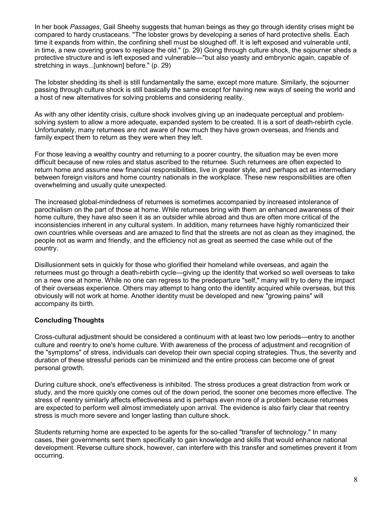In her book *Passages*, Gail Sheehy suggests that human beings as they go through identity crises might be compared to hardy crustaceans. "The lobster grows by developing a series of hard protective shells. Each time it expands from within, the confining shell must be sloughed off. It is left exposed and vulnerable until, in time, a new covering grows to replace the old." (p. 29) Going through culture shock, the sojourner sheds a protective structure and is left exposed and vulnerable—"but also yeasty and embryonic again, capable of stretching in ways...[unknown] before." (p. 29)

The lobster shedding its shell is still fundamentally the same, except more mature. Similarly, the sojourner passing through culture shock is still basically the same except for having new ways of seeing the world and a host of new alternatives for solving problems and considering reality.

As with any other identity crisis, culture shock involves giving up an inadequate perceptual and problem solving system to allow a more adequate, expanded system to be created. It is a sort of death-rebirth cycle. Unfortunately, many returnees are not aware of how much they have grown overseas, and friends and family expect them to return as they were when they left.

For those leaving a wealthy country and returning to a poorer country, the situation may be even more difficult because of new roles and status ascribed to the returnee. Such returnees are often expected to return home and assume new financial responsibilities, live in greater style, and perhaps act as intermediary between foreign visitors and home country nationals in the workplace. These new responsibilities are often overwhelming and usually quite unexpected.

The increased global-mindedness of returnees is sometimes accompanied by increased intolerance of parochialism on the part of those at home. While returnees bring with them an enhanced awareness of their home culture, they have also seen it as an outsider while abroad and thus are often more critical of the inconsistencies inherent in any cultural system. In addition, many returnees have highly romanticized their own countries while overseas and are amazed to find that the streets are not as clean as they imagined, the people not as warm and friendly, and the efficiency not as great as seemed the case while out of the country.

Disillusionment sets in quickly for those who glorified their homeland while overseas, and again the returnees must go through a death-rebirth cycle—giving up the identity that worked so well overseas to take on a new one at home. While no one can regress to the predeparture "self," many will try to deny the impact of their overseas experience. Others may attempt to hang onto the identity acquired while overseas, but this obviously will not work at home. Another identity must be developed and new "growing pains" will accompany its birth.

## **Concluding Thoughts**

Crosscultural adjustment should be considered a continuum with at least two low periods—entry to another culture and reentry to one's home culture. With awareness of the process of adjustment and recognition of the "symptoms" of stress, individuals can develop their own special coping strategies. Thus, the severity and duration of these stressful periods can be minimized and the entire process can become one of great personal growth.

During culture shock, one's effectiveness is inhibited. The stress produces a great distraction from work or study, and the more quickly one comes out of the down period, the sooner one becomes more effective. The stress of reentry similarly affects effectiveness and is perhaps even more of a problem because returnees are expected to perform well almost immediately upon arrival. The evidence is also fairly clear that reentry stress is much more severe and longer lasting than culture shock.

Students returning home are expected to be agents for the so-called "transfer of technology." In many cases, their governments sent them specifically to gain knowledge and skills that would enhance national development. Reverse culture shock, however, can interfere with this transfer and sometimes prevent it from occurring.